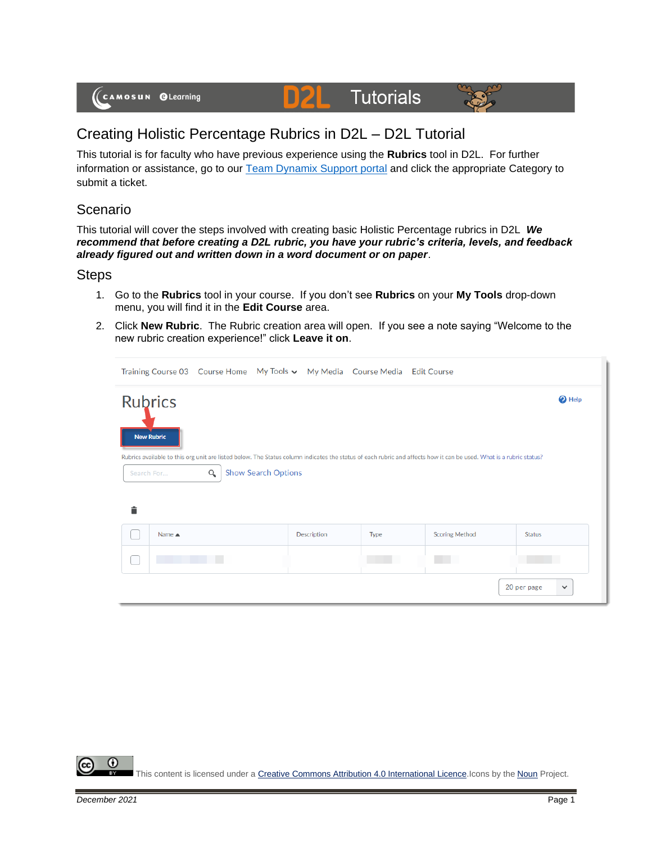# **Tutorials**



## Creating Holistic Percentage Rubrics in D2L – D2L Tutorial

D

This tutorial is for faculty who have previous experience using the **Rubrics** tool in D2L. For further information or assistance, go to our [Team Dynamix Support portal](https://camosun.teamdynamix.com/TDClient/67/Portal/Requests/ServiceCatalog?CategoryID=523) and click the appropriate Category to submit a ticket.

#### Scenario

This tutorial will cover the steps involved with creating basic Holistic Percentage rubrics in D2L *We recommend that before creating a D2L rubric, you have your rubric's criteria, levels, and feedback already figured out and written down in a word document or on paper*.

#### **Steps**

- 1. Go to the **Rubrics** tool in your course. If you don't see **Rubrics** on your **My Tools** drop-down menu, you will find it in the **Edit Course** area.
- 2. Click **New Rubric**. The Rubric creation area will open. If you see a note saying "Welcome to the new rubric creation experience!" click **Leave it on**.

|                                                                                                                                                                                                                                  |                                     |  |  |             | Training Course 03 Course Home My Tools v My Media Course Media Edit Course |                       |                             |  |  |  |
|----------------------------------------------------------------------------------------------------------------------------------------------------------------------------------------------------------------------------------|-------------------------------------|--|--|-------------|-----------------------------------------------------------------------------|-----------------------|-----------------------------|--|--|--|
|                                                                                                                                                                                                                                  | <b>Rubrics</b><br><b>New Rubric</b> |  |  |             |                                                                             |                       | <b>O</b> Help               |  |  |  |
| Rubrics available to this org unit are listed below. The Status column indicates the status of each rubric and affects how it can be used. What is a rubric status?<br><b>Show Search Options</b><br>$\alpha$<br>Search For<br>貪 |                                     |  |  |             |                                                                             |                       |                             |  |  |  |
|                                                                                                                                                                                                                                  | Name $\triangle$                    |  |  | Description | Type                                                                        | <b>Scoring Method</b> | <b>Status</b>               |  |  |  |
|                                                                                                                                                                                                                                  |                                     |  |  |             |                                                                             |                       |                             |  |  |  |
|                                                                                                                                                                                                                                  |                                     |  |  |             |                                                                             |                       | 20 per page<br>$\checkmark$ |  |  |  |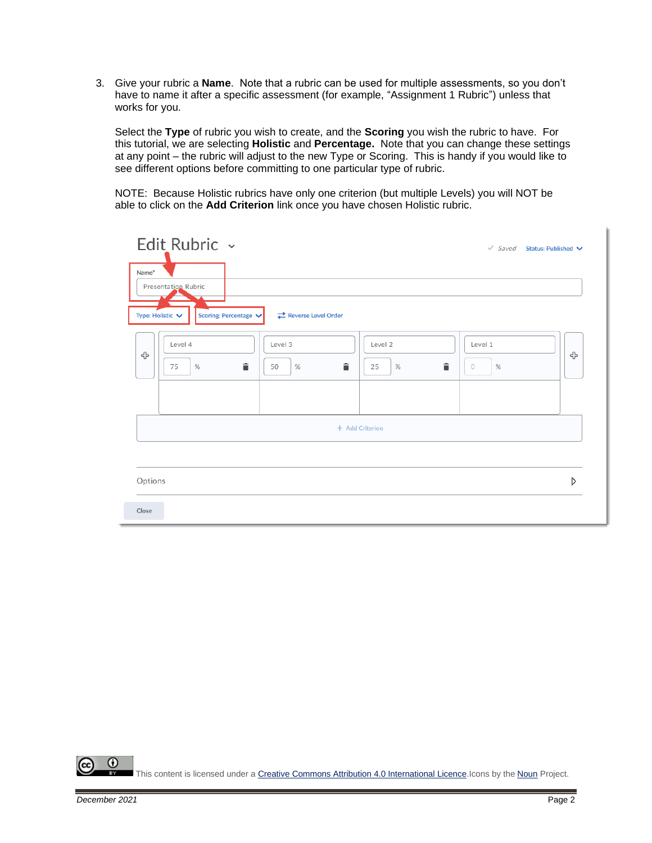3. Give your rubric a **Name**. Note that a rubric can be used for multiple assessments, so you don't have to name it after a specific assessment (for example, "Assignment 1 Rubric") unless that works for you.

Select the **Type** of rubric you wish to create, and the **Scoring** you wish the rubric to have. For this tutorial, we are selecting **Holistic** and **Percentage.** Note that you can change these settings at any point – the rubric will adjust to the new Type or Scoring. This is handy if you would like to see different options before committing to one particular type of rubric.

NOTE: Because Holistic rubrics have only one criterion (but multiple Levels) you will NOT be able to click on the **Add Criterion** link once you have chosen Holistic rubric.

| Edit Rubric ~                                                         | $\checkmark$ Saved<br>Status: Published V                                 |
|-----------------------------------------------------------------------|---------------------------------------------------------------------------|
| Name*<br>Presentation Rubric                                          |                                                                           |
| Reverse Level Order<br>Type: Holistic $\vee$<br>Scoring: Percentage V |                                                                           |
| Level 4<br>Level 3<br>⊕<br>û<br>î<br>$\%$<br>$\%$<br>50<br>75         | Level 2<br>Level 1<br>⊕<br>î<br>$\%$<br>$\circlearrowright$<br>$\%$<br>25 |
|                                                                       |                                                                           |
|                                                                       | + Add Criterion                                                           |
|                                                                       |                                                                           |
| Options<br>Close                                                      | D                                                                         |

0 This content is licensed under [a Creative Commons Attribution 4.0 International Licence.I](https://creativecommons.org/licenses/by/4.0/)cons by the [Noun](https://creativecommons.org/website-icons/) Project.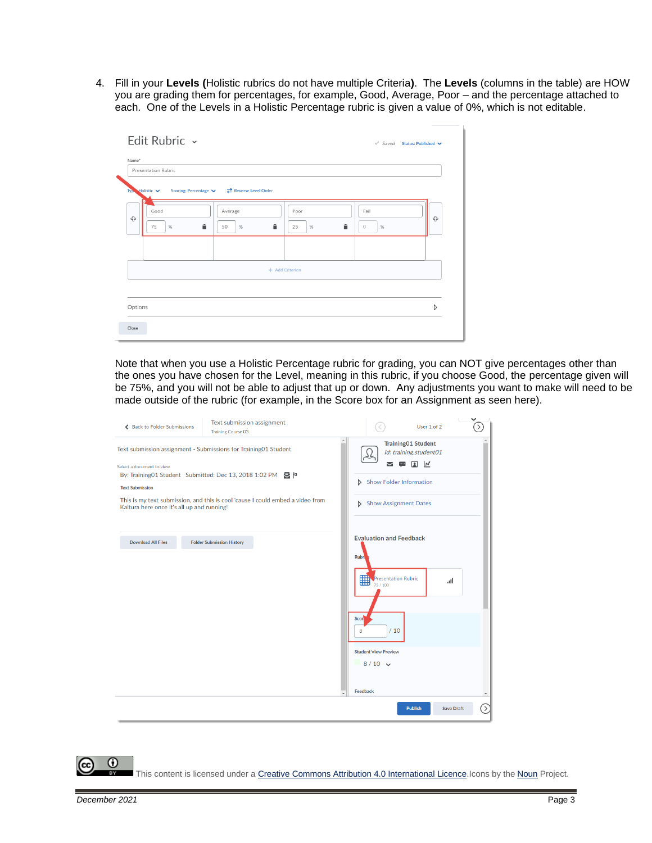4. Fill in your **Levels (**Holistic rubrics do not have multiple Criteria**)**. The **Levels** (columns in the table) are HOW you are grading them for percentages, for example, Good, Average, Poor – and the percentage attached to each. One of the Levels in a Holistic Percentage rubric is given a value of 0%, which is not editable.

| Name*   | Presentation Rubric                          |                            |                 |   |   |                 |   |
|---------|----------------------------------------------|----------------------------|-----------------|---|---|-----------------|---|
|         |                                              |                            |                 |   |   |                 |   |
|         | Typ Holistic $\vee$<br>Scoring: Percentage V | <b>Reverse Level Order</b> |                 |   |   |                 |   |
| ⊕       | Good                                         | Average                    | Poor            |   |   | Fail            | ⊕ |
|         | 75<br>%                                      | û<br>%<br>50               | Ê<br>25         | % | 貪 | $\%$<br>$\circ$ |   |
|         |                                              |                            |                 |   |   |                 |   |
|         |                                              |                            |                 |   |   |                 |   |
|         |                                              |                            | + Add Criterion |   |   |                 |   |
|         |                                              |                            |                 |   |   |                 |   |
|         |                                              |                            |                 |   |   |                 |   |
| Options |                                              |                            |                 |   |   |                 | D |

Note that when you use a Holistic Percentage rubric for grading, you can NOT give percentages other than the ones you have chosen for the Level, meaning in this rubric, if you choose Good, the percentage given will be 75%, and you will not be able to adjust that up or down. Any adjustments you want to make will need to be made outside of the rubric (for example, in the Score box for an Assignment as seen here).

| ← Back to Folder Submissions               | Text submission assignment<br><b>Training Course 03</b>                        | $\checkmark$<br>$\mathcal{E}$<br>User 1 of 2                  |
|--------------------------------------------|--------------------------------------------------------------------------------|---------------------------------------------------------------|
|                                            | Text submission assignment - Submissions for Training01 Student                | <b>Training01 Student</b><br>Id: training.student01           |
| Select a document to view                  |                                                                                | $\frac{1}{2}$ $\frac{1}{2}$<br>Σ<br>$\overline{\phantom{a}}$  |
|                                            | By: Training01 Student Submitted: Dec 13, 2018 1:02 PM                         | <b>Show Folder Information</b>                                |
| <b>Text Submission</b>                     |                                                                                | D.                                                            |
| Kaltura here once it's all up and running! | This is my text submission, and this is cool 'cause I could embed a video from | Show Assignment Dates                                         |
| <b>Download All Files</b>                  | <b>Folder Submission History</b>                                               | <b>Evaluation and Feedback</b>                                |
|                                            |                                                                                | <b>Rubr</b><br>Presentation Rubric<br>all<br>Scor<br>/10<br>8 |
|                                            |                                                                                | <b>Student View Preview</b>                                   |
|                                            |                                                                                | $8/10$ $\sqrt{ }$<br>Feedback                                 |
|                                            |                                                                                | ้><br><b>Publish</b><br><b>Save Draft</b>                     |

This content is licensed under [a Creative Commons Attribution 4.0 International Licence.I](https://creativecommons.org/licenses/by/4.0/)cons by the [Noun](https://creativecommons.org/website-icons/) Project.

0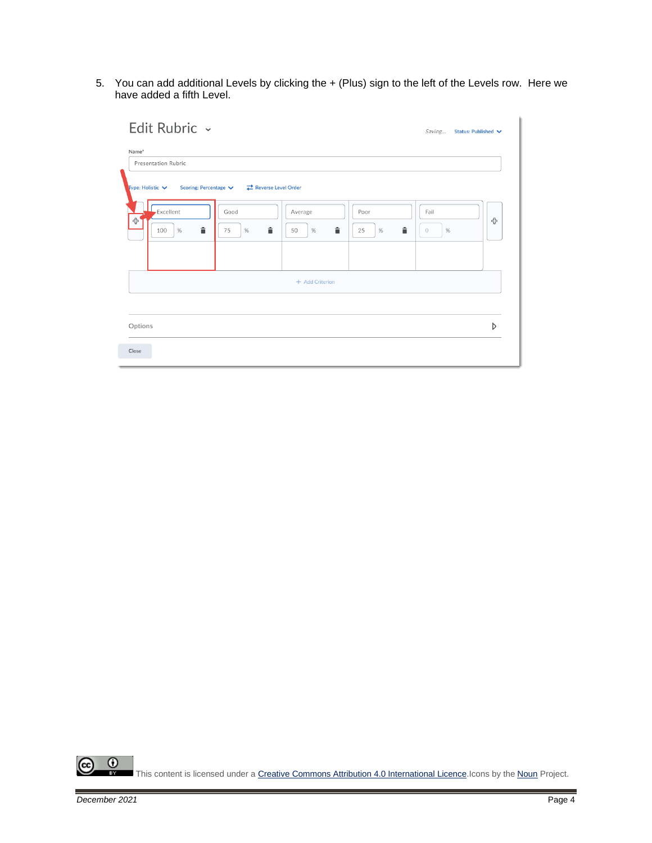5. You can add additional Levels by clicking the + (Plus) sign to the left of the Levels row. Here we have added a fifth Level.



 $\overline{0}$ ſα This content is licensed under [a Creative Commons Attribution 4.0 International Licence.I](https://creativecommons.org/licenses/by/4.0/)cons by the [Noun](https://creativecommons.org/website-icons/) Project.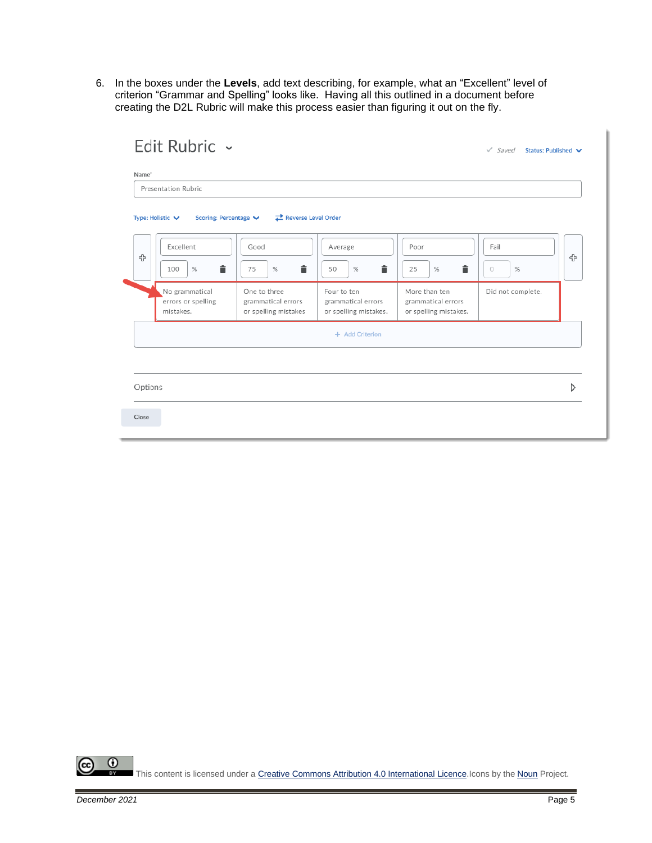6. In the boxes under the **Levels**, add text describing, for example, what an "Excellent" level of criterion "Grammar and Spelling" looks like. Having all this outlined in a document before creating the D2L Rubric will make this process easier than figuring it out on the fly.

|         | Presentation Rubric                               |                                                            |                                                            |                                                              |                                     |   |
|---------|---------------------------------------------------|------------------------------------------------------------|------------------------------------------------------------|--------------------------------------------------------------|-------------------------------------|---|
|         | Type: Holistic $\vee$<br>Scoring: Percentage      | Reverse Level Order                                        |                                                            |                                                              |                                     |   |
| ⊕       | Excellent<br>î<br>$\%$<br>100                     | Good<br>î<br>75<br>$\%$                                    | Average<br>â<br>$\%$<br>50                                 | Poor<br>â<br>$\%$<br>25                                      | Fail<br>$\%$<br>$\circlearrowright$ | ♧ |
|         | No grammatical<br>errors or spelling<br>mistakes. | One to three<br>grammatical errors<br>or spelling mistakes | Four to ten<br>grammatical errors<br>or spelling mistakes. | More than ten<br>grammatical errors<br>or spelling mistakes. | Did not complete.                   |   |
|         |                                                   |                                                            | + Add Criterion                                            |                                                              |                                     |   |
| Options |                                                   |                                                            |                                                            |                                                              |                                     | Ŋ |

 $\odot$ (cc This content is licensed under [a Creative Commons Attribution 4.0 International Licence.I](https://creativecommons.org/licenses/by/4.0/)cons by the [Noun](https://creativecommons.org/website-icons/) Project.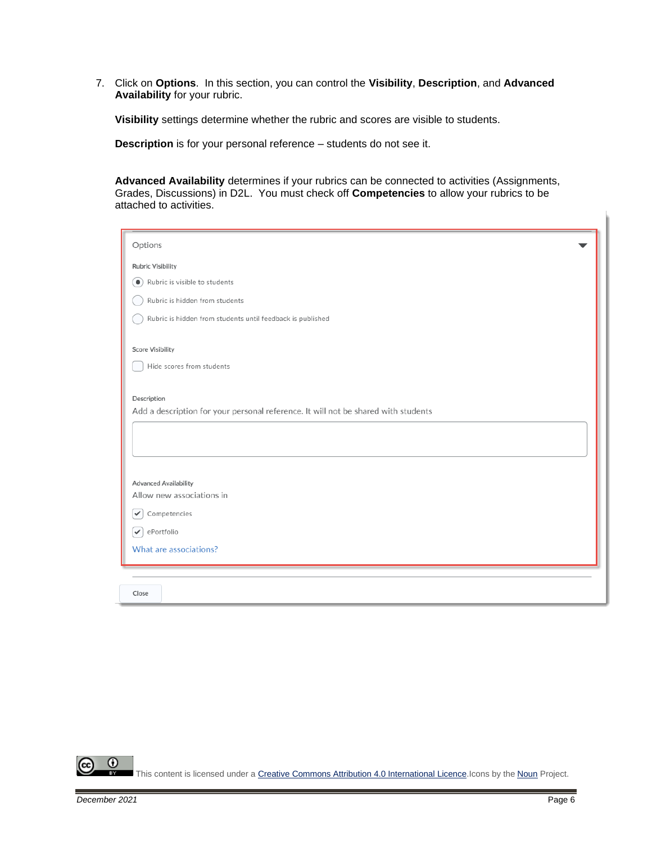7. Click on **Options**. In this section, you can control the **Visibility**, **Description**, and **Advanced Availability** for your rubric.

**Visibility** settings determine whether the rubric and scores are visible to students.

**Description** is for your personal reference – students do not see it.

**Advanced Availability** determines if your rubrics can be connected to activities (Assignments, Grades, Discussions) in D2L. You must check off **Competencies** to allow your rubrics to be attached to activities.

| Options                                                                            |
|------------------------------------------------------------------------------------|
| <b>Rubric Visibility</b>                                                           |
| Rubric is visible to students<br>$\bullet$                                         |
| Rubric is hidden from students                                                     |
|                                                                                    |
| Rubric is hidden from students until feedback is published                         |
| <b>Score Visibility</b>                                                            |
| Hide scores from students                                                          |
|                                                                                    |
| Description                                                                        |
| Add a description for your personal reference. It will not be shared with students |
|                                                                                    |
|                                                                                    |
|                                                                                    |
| <b>Advanced Availability</b>                                                       |
| Allow new associations in                                                          |
| Competencies<br>✓                                                                  |
| ePortfolio<br>$\checkmark$                                                         |
| What are associations?                                                             |
|                                                                                    |
|                                                                                    |
| Close                                                                              |

 $\odot$ This content is licensed under [a Creative Commons Attribution 4.0 International Licence.I](https://creativecommons.org/licenses/by/4.0/)cons by the [Noun](https://creativecommons.org/website-icons/) Project.